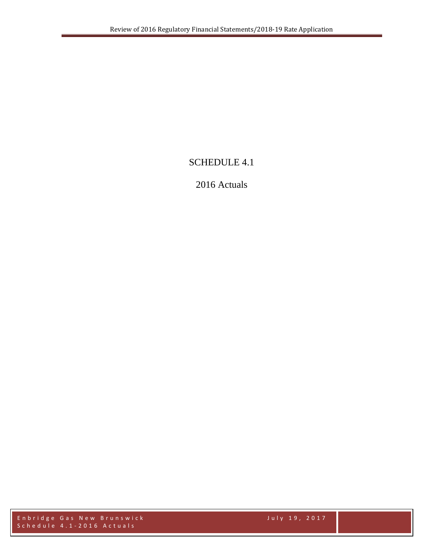# SCHEDULE 4.1

# 2016 Actuals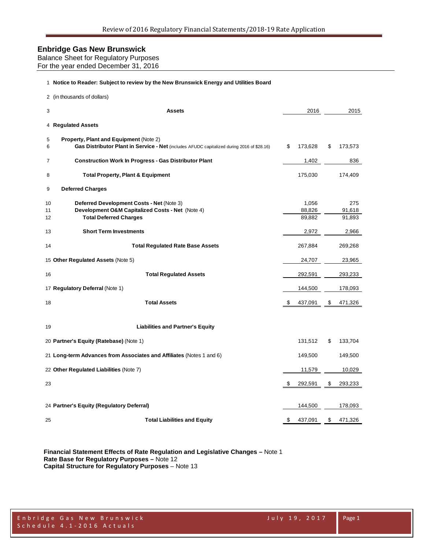| Balance Sheet for Regulatory Purposes |
|---------------------------------------|
| For the year ended December 31, 2016  |

#### **Notice to Reader: Subject to review by the New Brunswick Energy and Utilities Board**

|                | 2 (in thousands of dollars)                                                                                                          |                           |                         |
|----------------|--------------------------------------------------------------------------------------------------------------------------------------|---------------------------|-------------------------|
| 3              | <b>Assets</b>                                                                                                                        | 2016                      | 2015                    |
|                | 4 Regulated Assets                                                                                                                   |                           |                         |
| 5<br>6         | Property, Plant and Equipment (Note 2)<br>Gas Distributor Plant in Service - Net (includes AFUDC capitalized during 2016 of \$28.16) | \$<br>173,628             | \$<br>173,573           |
| $\overline{7}$ | <b>Construction Work In Progress - Gas Distributor Plant</b>                                                                         | 1,402                     | 836                     |
| 8              | <b>Total Property, Plant &amp; Equipment</b>                                                                                         | 175,030                   | 174,409                 |
| 9              | <b>Deferred Charges</b>                                                                                                              |                           |                         |
| 10<br>11<br>12 | Deferred Development Costs - Net (Note 3)<br>Development O&M Capitalized Costs - Net (Note 4)<br><b>Total Deferred Charges</b>       | 1,056<br>88,826<br>89.882 | 275<br>91,618<br>91,893 |
| 13             | <b>Short Term Investments</b>                                                                                                        | 2,972                     | 2,966                   |
| 14             | <b>Total Regulated Rate Base Assets</b>                                                                                              | 267,884                   | 269,268                 |
|                | 15 Other Regulated Assets (Note 5)                                                                                                   | 24,707                    | 23,965                  |
| 16             | <b>Total Regulated Assets</b>                                                                                                        | 292,591                   | 293,233                 |
|                | 17 Regulatory Deferral (Note 1)                                                                                                      | 144,500                   | 178,093                 |
| 18             | <b>Total Assets</b>                                                                                                                  | \$<br>437,091             | \$<br>471,326           |
| 19             | <b>Liabilities and Partner's Equity</b>                                                                                              |                           |                         |
|                | 20 Partner's Equity (Ratebase) (Note 1)                                                                                              | 131,512                   | \$<br>133,704           |
|                | 21 Long-term Advances from Associates and Affiliates (Notes 1 and 6)                                                                 | 149,500                   | 149,500                 |
|                | 22 Other Regulated Liabilities (Note 7)                                                                                              | 11,579                    | 10,029                  |
| 23             |                                                                                                                                      | \$<br>292,591             | \$<br>293,233           |
|                | 24 Partner's Equity (Regulatory Deferral)                                                                                            | 144,500                   | 178,093                 |
| 25             | <b>Total Liabilities and Equity</b>                                                                                                  | \$<br>437,091             | \$<br>471,326           |
|                |                                                                                                                                      |                           |                         |

**Financial Statement Effects of Rate Regulation and Legislative Changes –** Note 1 **Rate Base for Regulatory Purposes –** Note 12 **Capital Structure for Regulatory Purposes** – Note 13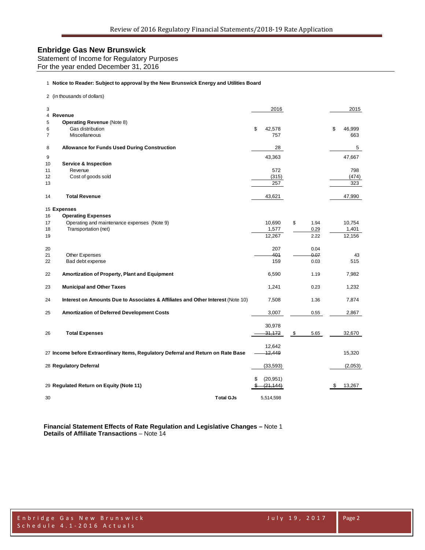Statement of Income for Regulatory Purposes For the year ended December 31, 2016

#### 1 **Notice to Reader: Subject to approval by the New Brunswick Energy and Utilities Board**

2 (in thousands of dollars)

| 3  |                                                                                   | 2016         |            |    | 2015    |
|----|-----------------------------------------------------------------------------------|--------------|------------|----|---------|
| 4  | Revenue                                                                           |              |            |    |         |
| 5  | <b>Operating Revenue (Note 8)</b>                                                 |              |            |    |         |
| 6  | Gas distribution                                                                  | \$<br>42,578 |            | \$ | 46,999  |
| 7  | Miscellaneous                                                                     | 757          |            |    | 663     |
| 8  | <b>Allowance for Funds Used During Construction</b>                               | 28           |            |    | 5       |
| 9  |                                                                                   | 43,363       |            |    | 47,667  |
| 10 | <b>Service &amp; Inspection</b>                                                   |              |            |    |         |
| 11 | Revenue                                                                           | 572          |            |    | 798     |
| 12 | Cost of goods sold                                                                | (315)        |            |    | (474)   |
| 13 |                                                                                   | 257          |            |    | 323     |
| 14 | <b>Total Revenue</b>                                                              | 43,621       |            |    | 47,990  |
|    | 15 Expenses                                                                       |              |            |    |         |
| 16 | <b>Operating Expenses</b>                                                         |              |            |    |         |
| 17 | Operating and maintenance expenses (Note 9)                                       | 10,690       | \$<br>1.94 |    | 10,754  |
| 18 | Transportation (net)                                                              | 1,577        | 0.29       |    | 1,401   |
| 19 |                                                                                   | 12,267       | 2.22       |    | 12,156  |
| 20 |                                                                                   | 207          | 0.04       |    |         |
| 21 | Other Expenses                                                                    | 401          | 0.07       |    | 43      |
| 22 | Bad debt expense                                                                  | 159          | 0.03       |    | 515     |
| 22 | Amortization of Property, Plant and Equipment                                     | 6,590        | 1.19       |    | 7,982   |
| 23 | <b>Municipal and Other Taxes</b>                                                  | 1,241        | 0.23       |    | 1,232   |
| 24 | Interest on Amounts Due to Associates & Affiliates and Other Interest (Note 10)   | 7,508        | 1.36       |    | 7,874   |
| 25 | Amortization of Deferred Development Costs                                        | 3,007        | 0.55       |    | 2,867   |
|    |                                                                                   | 30,978       |            |    |         |
|    |                                                                                   |              |            |    |         |
| 26 | <b>Total Expenses</b>                                                             | 31,172       | \$<br>5.65 |    | 32,670  |
|    |                                                                                   | 12,642       |            |    |         |
|    | 27 Income before Extraordinary Items, Regulatory Deferral and Return on Rate Base | 12,449       |            |    | 15,320  |
|    | 28 Regulatory Deferral                                                            | (33, 593)    |            |    | (2,053) |
|    |                                                                                   |              |            |    |         |
|    |                                                                                   | (20, 951)    |            |    |         |
|    | 29 Regulated Return on Equity (Note 11)                                           | (21, 144)    |            | S  | 13,267  |
| 30 | <b>Total GJs</b>                                                                  | 5,514,598    |            |    |         |

**Financial Statement Effects of Rate Regulation and Legislative Changes –** Note 1 **Details of Affiliate Transactions** – Note 14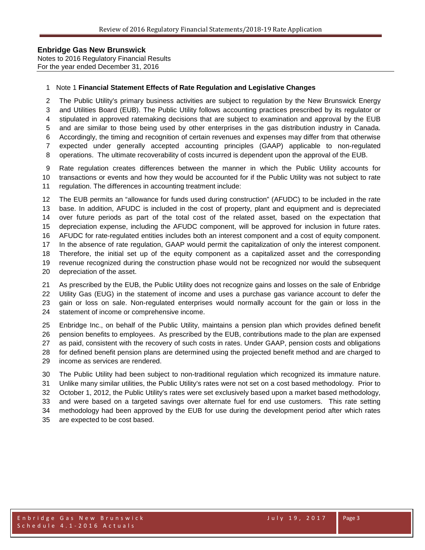Notes to 2016 Regulatory Financial Results For the year ended December 31, 2016

#### Note 1 **Financial Statement Effects of Rate Regulation and Legislative Changes**

 The Public Utility's primary business activities are subject to regulation by the New Brunswick Energy and Utilities Board (EUB). The Public Utility follows accounting practices prescribed by its regulator or stipulated in approved ratemaking decisions that are subject to examination and approval by the EUB and are similar to those being used by other enterprises in the gas distribution industry in Canada. Accordingly, the timing and recognition of certain revenues and expenses may differ from that otherwise expected under generally accepted accounting principles (GAAP) applicable to non-regulated

operations. The ultimate recoverability of costs incurred is dependent upon the approval of the EUB.

 Rate regulation creates differences between the manner in which the Public Utility accounts for transactions or events and how they would be accounted for if the Public Utility was not subject to rate regulation. The differences in accounting treatment include:

 The EUB permits an "allowance for funds used during construction" (AFUDC) to be included in the rate base. In addition, AFUDC is included in the cost of property, plant and equipment and is depreciated over future periods as part of the total cost of the related asset, based on the expectation that depreciation expense, including the AFUDC component, will be approved for inclusion in future rates. AFUDC for rate-regulated entities includes both an interest component and a cost of equity component. In the absence of rate regulation, GAAP would permit the capitalization of only the interest component. Therefore, the initial set up of the equity component as a capitalized asset and the corresponding revenue recognized during the construction phase would not be recognized nor would the subsequent depreciation of the asset.

 As prescribed by the EUB, the Public Utility does not recognize gains and losses on the sale of Enbridge Utility Gas (EUG) in the statement of income and uses a purchase gas variance account to defer the gain or loss on sale. Non-regulated enterprises would normally account for the gain or loss in the statement of income or comprehensive income.

 Enbridge Inc., on behalf of the Public Utility, maintains a pension plan which provides defined benefit pension benefits to employees. As prescribed by the EUB, contributions made to the plan are expensed as paid, consistent with the recovery of such costs in rates. Under GAAP, pension costs and obligations for defined benefit pension plans are determined using the projected benefit method and are charged to income as services are rendered.

 The Public Utility had been subject to non-traditional regulation which recognized its immature nature. Unlike many similar utilities, the Public Utility's rates were not set on a cost based methodology. Prior to October 1, 2012, the Public Utility's rates were set exclusively based upon a market based methodology, and were based on a targeted savings over alternate fuel for end use customers. This rate setting methodology had been approved by the EUB for use during the development period after which rates are expected to be cost based.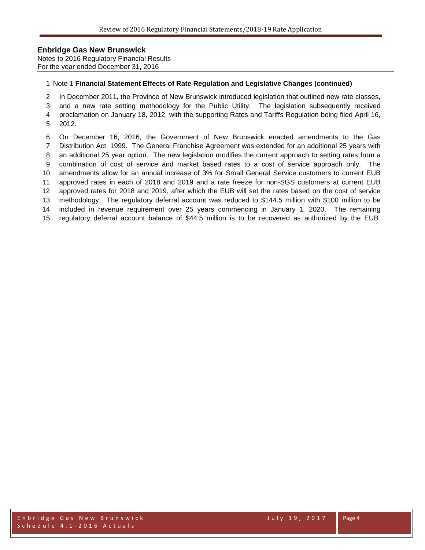Notes to 2016 Regulatory Financial Results For the year ended December 31, 2016

#### Note 1 **Financial Statement Effects of Rate Regulation and Legislative Changes (continued)**

In December 2011, the Province of New Brunswick introduced legislation that outlined new rate classes,

 and a new rate setting methodology for the Public Utility. The legislation subsequently received proclamation on January 18, 2012, with the supporting Rates and Tariffs Regulation being filed April 16, 2012.

 On December 16, 2016, the Government of New Brunswick enacted amendments to the Gas Distribution Act, 1999. The General Franchise Agreement was extended for an additional 25 years with an additional 25 year option. The new legislation modifies the current approach to setting rates from a combination of cost of service and market based rates to a cost of service approach only. The amendments allow for an annual increase of 3% for Small General Service customers to current EUB approved rates in each of 2018 and 2019 and a rate freeze for non-SGS customers at current EUB approved rates for 2018 and 2019, after which the EUB will set the rates based on the cost of service methodology. The regulatory deferral account was reduced to \$144.5 million with \$100 million to be included in revenue requirement over 25 years commencing in January 1, 2020. The remaining regulatory deferral account balance of \$44.5 million is to be recovered as authorized by the EUB.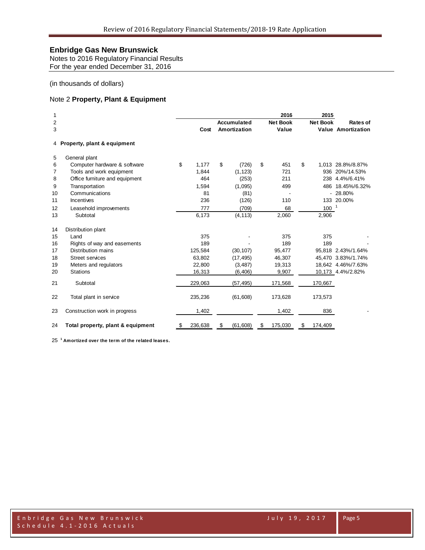Notes to 2016 Regulatory Financial Results For the year ended December 31, 2016

#### (in thousands of dollars)

### Note 2 **Property, Plant & Equipment**

| 1      |                                   |               |                             | 2016                     | 2015            |                                              |
|--------|-----------------------------------|---------------|-----------------------------|--------------------------|-----------------|----------------------------------------------|
| 2<br>3 |                                   | Cost          | Accumulated<br>Amortization | <b>Net Book</b><br>Value | <b>Net Book</b> | <b>Rates of</b><br><b>Value Amortization</b> |
|        | 4 Property, plant & equipment     |               |                             |                          |                 |                                              |
| 5      | General plant                     |               |                             |                          |                 |                                              |
| 6      | Computer hardware & software      | \$<br>1,177   | \$<br>(726)                 | \$<br>451                | \$              | 1,013 28.8%/8.87%                            |
| 7      | Tools and work equipment          | 1,844         | (1, 123)                    | 721                      |                 | 936 20%/14.53%                               |
| 8      | Office furniture and equipment    | 464           | (253)                       | 211                      |                 | 238 4.4%/6.41%                               |
| 9      | Transportation                    | 1,594         | (1,095)                     | 499                      | 486             | 18.45%/6.32%                                 |
| 10     | Communications                    | 81            | (81)                        |                          |                 | $-28.80%$                                    |
| 11     | Incentives                        | 236           | (126)                       | 110                      |                 | 133 20.00%                                   |
| 12     | Leasehold improvements            | 777           | (709)                       | 68                       | $100^{-1}$      |                                              |
| 13     | Subtotal                          | 6,173         | (4, 113)                    | 2,060                    | 2,906           |                                              |
| 14     | Distribution plant                |               |                             |                          |                 |                                              |
| 15     | Land                              | 375           |                             | 375                      | 375             |                                              |
| 16     | Rights of way and easements       | 189           |                             | 189                      | 189             |                                              |
| 17     | Distribution mains                | 125,584       | (30, 107)                   | 95,477                   |                 | 95,818 2.43%/1.64%                           |
| 18     | <b>Street services</b>            | 63,802        | (17, 495)                   | 46,307                   |                 | 45,470 3.83%/1.74%                           |
| 19     | Meters and regulators             | 22,800        | (3, 487)                    | 19,313                   |                 | 18,642 4.46%/7.63%                           |
| 20     | <b>Stations</b>                   | 16,313        | (6, 406)                    | 9,907                    |                 | 10,173 4.4%/2.82%                            |
| 21     | Subtotal                          | 229,063       | (57, 495)                   | 171,568                  | 170,667         |                                              |
| 22     | Total plant in service            | 235,236       | (61, 608)                   | 173,628                  | 173,573         |                                              |
| 23     | Construction work in progress     | 1,402         |                             | 1,402                    | 836             |                                              |
| 24     | Total property, plant & equipment | \$<br>236,638 | \$<br>(61, 608)             | \$<br>175,030            | \$<br>174,409   |                                              |

**<sup>1</sup> Amortized over the term of the related leases.**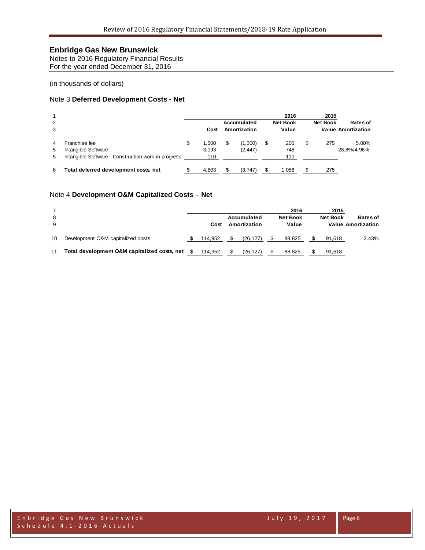Notes to 2016 Regulatory Financial Results For the year ended December 31, 2016

(in thousands of dollars)

#### Note 3 **Deferred Development Costs - Net**

| $\overline{2}$<br>3 |                                                                                             | Cost                        | Accumulated<br>Amortization                     | 2016<br><b>Net Book</b><br>Value | 2015<br><b>Net Book</b> | Rates of<br><b>Value Amortization</b> |
|---------------------|---------------------------------------------------------------------------------------------|-----------------------------|-------------------------------------------------|----------------------------------|-------------------------|---------------------------------------|
| 4<br>5<br>5         | Franchise fee<br>Intangible Software<br>Intangible Software - Construction work in progress | \$<br>1.500<br>3,193<br>110 | (1,300)<br>(2, 447)<br>$\overline{\phantom{a}}$ | \$<br>200<br>746<br>110          | \$<br>275               | 5.00%<br>$-28.8\%/4.96\%$             |
| 6                   | Total deferred development costs, net                                                       | 4,803                       | (3,747)                                         | 1,056                            | 275                     |                                       |

#### Note 4 **Development O&M Capitalized Costs – Net**

| 8<br>9 |                                              | Cost    | Accumulated<br>Amortization | 2016<br><b>Net Book</b><br>Value | 2015<br><b>Net Book</b> | <b>Rates of</b><br><b>Value Amortization</b> |
|--------|----------------------------------------------|---------|-----------------------------|----------------------------------|-------------------------|----------------------------------------------|
| 10     | Development O&M capitalized costs            | 114.952 | (26.127)                    | 88.825                           | 91.618                  | 2.43%                                        |
| 11     | Total development O&M capitalized costs, net | 114,952 | (26, 127)                   | 88,825                           | 91,618                  |                                              |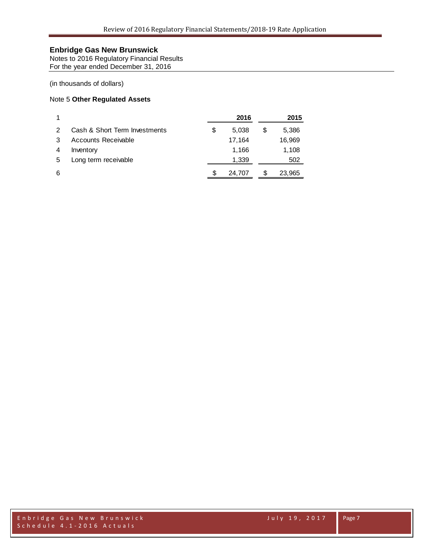Notes to 2016 Regulatory Financial Results For the year ended December 31, 2016

#### (in thousands of dollars)

### Note 5 **Other Regulated Assets**

|    |                               |    | 2016   |   | 2015   |
|----|-------------------------------|----|--------|---|--------|
| 2  | Cash & Short Term Investments | S  | 5.038  | S | 5,386  |
| -3 | Accounts Receivable           |    | 17,164 |   | 16,969 |
| 4  | Inventory                     |    | 1.166  |   | 1,108  |
| 5  | Long term receivable          |    | 1,339  |   | 502    |
| 6  |                               | æ. | 24.707 | S | 23,965 |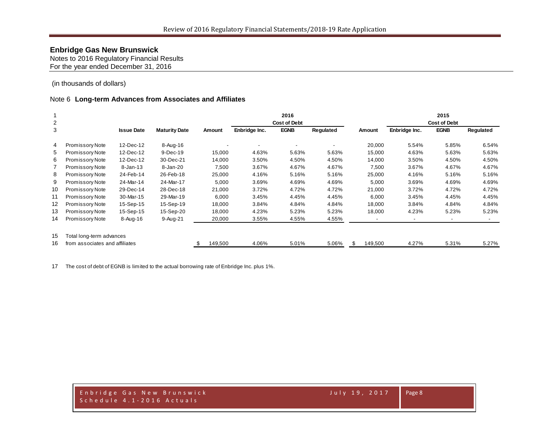Notes to 2016 Regulatory Financial Results For the year ended December 31, 2016

(in thousands of dollars)

#### Note 6 **Long-term Advances from Associates and Affiliates**

|                |                                |                   |                      |         |               | 2016                |           |              |               | 2015                |           |
|----------------|--------------------------------|-------------------|----------------------|---------|---------------|---------------------|-----------|--------------|---------------|---------------------|-----------|
| $\overline{c}$ |                                |                   |                      |         |               | <b>Cost of Debt</b> |           |              |               | <b>Cost of Debt</b> |           |
| 3              |                                | <b>Issue Date</b> | <b>Maturity Date</b> | Amount  | Enbridge Inc. | <b>EGNB</b>         | Regulated | Amount       | Enbridge Inc. | <b>EGNB</b>         | Regulated |
| 4              | Promissory Note                | 12-Dec-12         | 8-Aug-16             |         |               |                     |           | 20,000       | 5.54%         | 5.85%               | 6.54%     |
| 5              | Promissory Note                | 12-Dec-12         | 9-Dec-19             | 15,000  | 4.63%         | 5.63%               | 5.63%     | 15,000       | 4.63%         | 5.63%               | 5.63%     |
| 6              | Promissory Note                | 12-Dec-12         | 30-Dec-21            | 14,000  | 3.50%         | 4.50%               | 4.50%     | 14,000       | 3.50%         | 4.50%               | 4.50%     |
|                | Promissory Note                | $8 - Jan-13$      | 8-Jan-20             | 7,500   | 3.67%         | 4.67%               | 4.67%     | 7,500        | 3.67%         | 4.67%               | 4.67%     |
| 8              | Promissory Note                | 24-Feb-14         | 26-Feb-18            | 25,000  | 4.16%         | 5.16%               | 5.16%     | 25,000       | 4.16%         | 5.16%               | 5.16%     |
| 9              | Promissory Note                | 24-Mar-14         | 24-Mar-17            | 5,000   | 3.69%         | 4.69%               | 4.69%     | 5,000        | 3.69%         | 4.69%               | 4.69%     |
| 10             | Promissory Note                | 29-Dec-14         | 28-Dec-18            | 21,000  | 3.72%         | 4.72%               | 4.72%     | 21,000       | 3.72%         | 4.72%               | 4.72%     |
| 11             | Promissory Note                | 30-Mar-15         | 29-Mar-19            | 6,000   | 3.45%         | 4.45%               | 4.45%     | 6,000        | 3.45%         | 4.45%               | 4.45%     |
| 12             | Promissory Note                | 15-Sep-15         | 15-Sep-19            | 18,000  | 3.84%         | 4.84%               | 4.84%     | 18,000       | 3.84%         | 4.84%               | 4.84%     |
| 13             | Promissory Note                | 15-Sep-15         | 15-Sep-20            | 18,000  | 4.23%         | 5.23%               | 5.23%     | 18,000       | 4.23%         | 5.23%               | 5.23%     |
| 14             | Promissory Note                | 8-Aug-16          | 9-Aug-21             | 20,000  | 3.55%         | 4.55%               | 4.55%     |              |               |                     |           |
| 15             | Total long-term advances       |                   |                      |         |               |                     |           |              |               |                     |           |
| 16             | from associates and affiliates |                   |                      | 149,500 | 4.06%         | 5.01%               | 5.06%     | 149,500<br>S | 4.27%         | 5.31%               | 5.27%     |

The cost of debt of EGNB is limited to the actual borrowing rate of Enbridge Inc. plus 1%.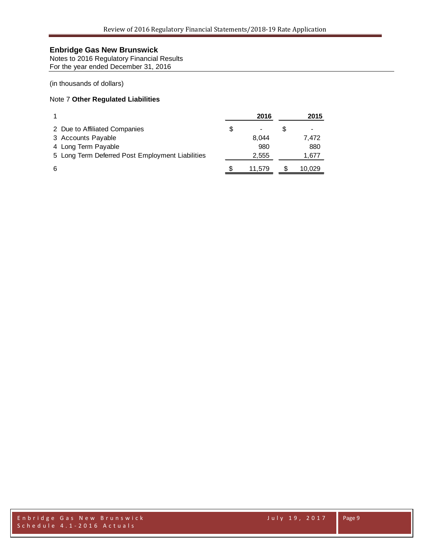Notes to 2016 Regulatory Financial Results For the year ended December 31, 2016

(in thousands of dollars)

### Note 7 **Other Regulated Liabilities**

|                                                  | 2016   | 2015   |
|--------------------------------------------------|--------|--------|
| 2 Due to Affiliated Companies                    |        |        |
| 3 Accounts Payable                               | 8.044  | 7.472  |
| 4 Long Term Payable                              | 980    | 880    |
| 5 Long Term Deferred Post Employment Liabilities | 2,555  | 1,677  |
| 6                                                | 11.579 | 10.029 |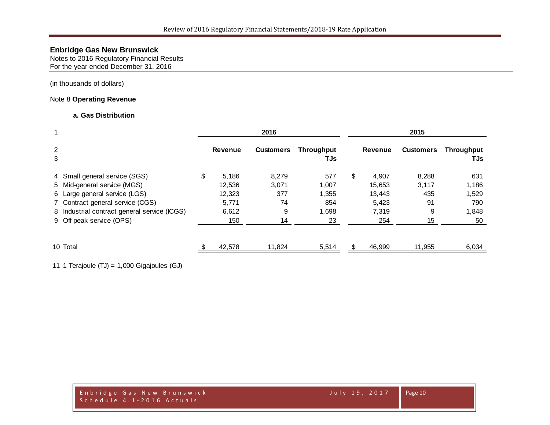Notes to 2016 Regulatory Financial Results For the year ended December 31, 2016

(in thousands of dollars)

### Note 8 **Operating Revenue**

#### **a. Gas Distribution**

|        |                                              |                | 2016             |                          |     | 2015           |                  |                   |  |  |
|--------|----------------------------------------------|----------------|------------------|--------------------------|-----|----------------|------------------|-------------------|--|--|
| 2<br>3 |                                              | <b>Revenue</b> | <b>Customers</b> | <b>Throughput</b><br>TJs |     | <b>Revenue</b> | <b>Customers</b> | Throughput<br>TJs |  |  |
|        | 4 Small general service (SGS)                | \$<br>5,186    | 8,279            | 577                      | \$  | 4,907          | 8,288            | 631               |  |  |
|        | 5 Mid-general service (MGS)                  | 12,536         | 3,071            | 1,007                    |     | 15,653         | 3,117            | 1,186             |  |  |
|        | 6 Large general service (LGS)                | 12,323         | 377              | 1.355                    |     | 13,443         | 435              | 1,529             |  |  |
|        | 7 Contract general service (CGS)             | 5,771          | 74               | 854                      |     | 5,423          | 91               | 790               |  |  |
|        | 8 Industrial contract general service (ICGS) | 6,612          | 9                | 1,698                    |     | 7,319          | 9                | 1,848             |  |  |
|        | 9 Off peak service (OPS)                     | 150            | 14               | 23                       |     | 254            | 15               | 50                |  |  |
|        | 10 Total                                     | 42,578         | 11.824           | 5,514                    | \$. | 46,999         | 11,955           | 6,034             |  |  |

11 1 Terajoule (TJ) = 1,000 Gigajoules (GJ)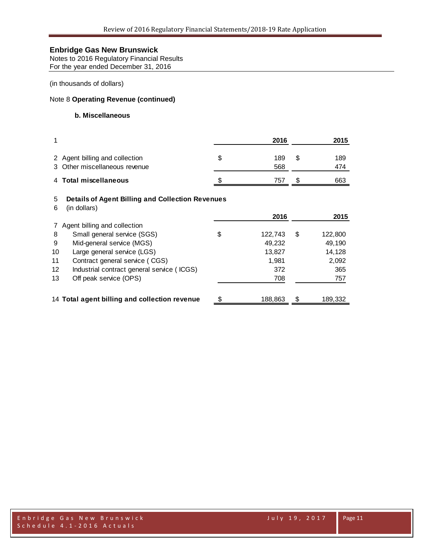Notes to 2016 Regulatory Financial Results For the year ended December 31, 2016

(in thousands of dollars)

### Note 8 **Operating Revenue (continued)**

### **b. Miscellaneous**

|              |                                                                         | 2016             | 2015             |
|--------------|-------------------------------------------------------------------------|------------------|------------------|
| 3            | 2 Agent billing and collection<br>Other miscellaneous revenue           | \$<br>189<br>568 | \$<br>189<br>474 |
| 4            | <b>Total miscellaneous</b>                                              | 757              | \$<br>663        |
| 5<br>6       | <b>Details of Agent Billing and Collection Revenues</b><br>(in dollars) | 2016             | 2015             |
| $\mathbf{7}$ | Agent billing and collection                                            |                  |                  |
| 8            | Small general service (SGS)                                             | \$<br>122,743    | \$<br>122,800    |
| 9            | Mid-general service (MGS)                                               | 49,232           | 49,190           |
| 10           | Large general service (LGS)                                             | 13,827           | 14,128           |
| 11           | Contract general service (CGS)                                          | 1,981            | 2,092            |
| 12           | Industrial contract general service (ICGS)                              | 372              | 365              |
| 13           | Off peak service (OPS)                                                  | 708              | 757              |
|              | 14 Total agent billing and collection revenue                           | \$<br>188,863    | \$<br>189,332    |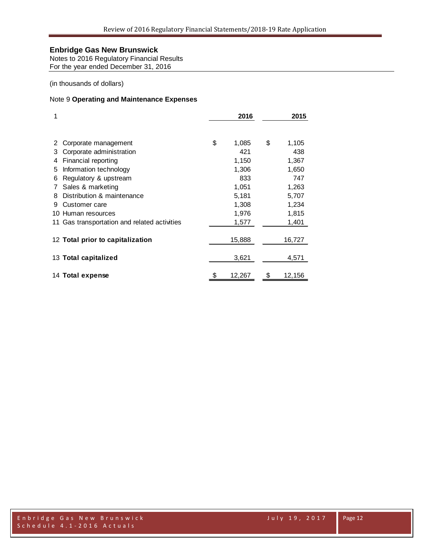Notes to 2016 Regulatory Financial Results For the year ended December 31, 2016

(in thousands of dollars)

### Note 9 **Operating and Maintenance Expenses**

| 1  |                                              | 2016         | 2015 |        |  |  |  |
|----|----------------------------------------------|--------------|------|--------|--|--|--|
|    |                                              |              |      |        |  |  |  |
|    | Corporate management                         | \$<br>1,085  | \$   | 1,105  |  |  |  |
| З  | Corporate administration                     | 421          |      | 438    |  |  |  |
| 4  | Financial reporting                          | 1,150        |      | 1,367  |  |  |  |
| 5  | Information technology                       | 1,306        |      | 1,650  |  |  |  |
| 6  | Regulatory & upstream                        | 833          |      | 747    |  |  |  |
| 7  | Sales & marketing                            | 1,051        |      | 1,263  |  |  |  |
| 8  | Distribution & maintenance                   | 5,181        |      | 5,707  |  |  |  |
| 9  | Customer care                                | 1,308        |      | 1,234  |  |  |  |
| 10 | Human resources                              | 1,976        |      | 1,815  |  |  |  |
|    | 11 Gas transportation and related activities | 1,577        |      | 1,401  |  |  |  |
|    | 12 Total prior to capitalization             | 15,888       |      | 16,727 |  |  |  |
|    | 13 Total capitalized                         | 3,621        |      | 4,571  |  |  |  |
|    | 14 Total expense                             | \$<br>12,267 | \$   | 12,156 |  |  |  |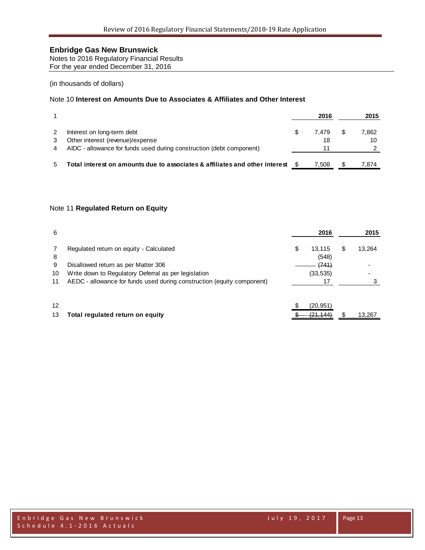Notes to 2016 Regulatory Financial Results For the year ended December 31, 2016

#### (in thousands of dollars)

### Note 10 **Interest on Amounts Due to Associates & Affiliates and Other Interest**

|                                                                             |   | 2016  |   | 2015  |
|-----------------------------------------------------------------------------|---|-------|---|-------|
| Interest on long-term debt                                                  | S | 7.479 | S | 7.862 |
| Other interest (revenue)/expense                                            |   | 18    |   | 10    |
| AIDC - allowance for funds used during construction (debt component)        |   | 11    |   |       |
|                                                                             |   |       |   |       |
| Total interest on amounts due to associates & affiliates and other interest |   | 7.508 |   | 7.874 |

#### Note 11 **Regulated Return on Equity**

| 6  |                                                                        | 2016                  |   | 2015   |
|----|------------------------------------------------------------------------|-----------------------|---|--------|
| 8  | Regulated return on equity - Calculated                                | \$<br>13,115<br>(548) | S | 13,264 |
| 9  | Disallowed return as per Matter 306                                    | (741)                 |   |        |
| 10 | Write down to Regulatory Deferral as per legislation                   | (33, 535)             |   |        |
| 11 | AEDC - allowance for funds used during construction (equity component) | 17                    |   |        |
|    |                                                                        |                       |   |        |
| 12 |                                                                        | (20, 951)             |   |        |
| 13 | Total regulated return on equity                                       | (21, 144)             |   | 13,267 |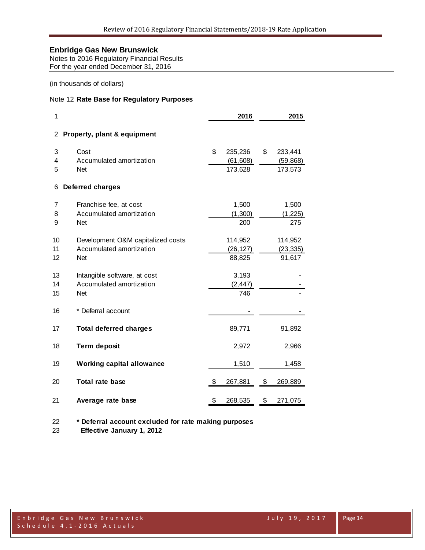Notes to 2016 Regulatory Financial Results For the year ended December 31, 2016

(in thousands of dollars)

#### Note 12 **Rate Base for Regulatory Purposes**

| 1              |                                                                             | 2016 |                                 |    |                                 |  |  |
|----------------|-----------------------------------------------------------------------------|------|---------------------------------|----|---------------------------------|--|--|
| 2              | Property, plant & equipment                                                 |      |                                 |    |                                 |  |  |
| 3<br>4<br>5    | Cost<br>Accumulated amortization<br>Net                                     | \$   | 235,236<br>(61, 608)<br>173,628 | \$ | 233,441<br>(59, 868)<br>173,573 |  |  |
| 6              | <b>Deferred charges</b>                                                     |      |                                 |    |                                 |  |  |
| 7<br>8<br>9    | Franchise fee, at cost<br>Accumulated amortization<br><b>Net</b>            |      | 1,500<br>(1, 300)<br>200        |    | 1,500<br>(1, 225)<br>275        |  |  |
| 10<br>11<br>12 | Development O&M capitalized costs<br>Accumulated amortization<br><b>Net</b> |      | 114,952<br>(26, 127)<br>88,825  |    | 114,952<br>(23, 335)<br>91,617  |  |  |
| 13<br>14<br>15 | Intangible software, at cost<br>Accumulated amortization<br><b>Net</b>      |      | 3,193<br>(2, 447)<br>746        |    |                                 |  |  |
| 16             | * Deferral account                                                          |      |                                 |    |                                 |  |  |
| 17             | <b>Total deferred charges</b>                                               |      | 89,771                          |    | 91,892                          |  |  |
| 18             | <b>Term deposit</b>                                                         |      | 2,972                           |    | 2,966                           |  |  |
| 19             | <b>Working capital allowance</b>                                            |      | 1,510                           |    | 1,458                           |  |  |
| 20             | <b>Total rate base</b>                                                      | \$   | 267,881                         | \$ | 269,889                         |  |  |
| 21             | Average rate base                                                           | \$   | 268,535                         | \$ | 271,075                         |  |  |

 **\* Deferral account excluded for rate making purposes Effective January 1, 2012**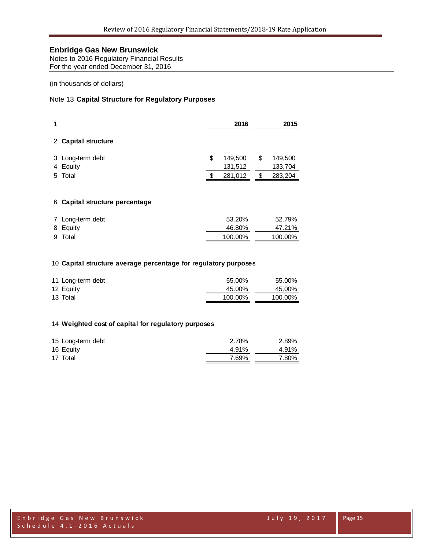Notes to 2016 Regulatory Financial Results For the year ended December 31, 2016

#### (in thousands of dollars)

### Note 13 **Capital Structure for Regulatory Purposes**

| 1 |                              | 2016 |                    |     | 2015               |
|---|------------------------------|------|--------------------|-----|--------------------|
|   | 2 Capital structure          |      |                    |     |                    |
|   | 3 Long-term debt<br>4 Equity | \$   | 149,500<br>131,512 | \$  | 149,500<br>133,704 |
|   | 5 Total                      |      | 281,012            | \$. | 283,204            |
|   |                              |      |                    |     |                    |

### **Capital structure percentage**

| 7 Long-term debt | 53.20%  | 52.79%  |
|------------------|---------|---------|
| 8 Equity         | 46.80%  | 47.21%  |
| 9 Total          | 100.00% | 100.00% |

#### **Capital structure average percentage for regulatory purposes**

| 11 Long-term debt | 55.00%  | 55.00%  |
|-------------------|---------|---------|
| 12 Equity         | 45.00%  | 45.00%  |
| 13 Total          | 100.00% | 100.00% |

#### **Weighted cost of capital for regulatory purposes**

| 15 Long-term debt | 2.78% | 2.89% |
|-------------------|-------|-------|
| 16 Equity         | 4.91% | 4.91% |
| 17 Total          | 7.69% | 7.80% |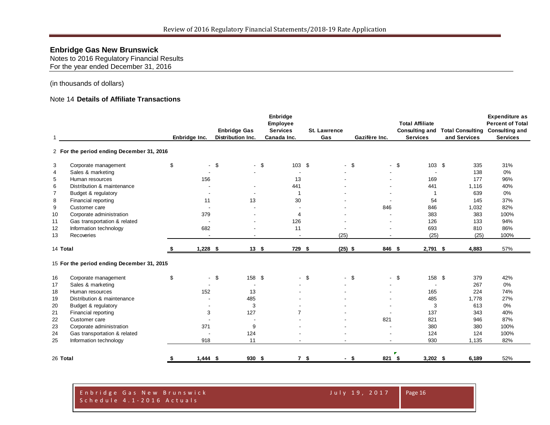Notes to 2016 Regulatory Financial Results For the year ended December 31, 2016

#### (in thousands of dollars)

#### Note 14 **Details of Affiliate Transactions**

|                |                                            |                  |                          |        | Enbridge        |                |                     |               |                |        |                          |              | <b>Expenditure as</b>                  |
|----------------|--------------------------------------------|------------------|--------------------------|--------|-----------------|----------------|---------------------|---------------|----------------|--------|--------------------------|--------------|----------------------------------------|
|                |                                            |                  |                          |        | Employee        |                |                     |               |                |        | <b>Total Affiliate</b>   |              | <b>Percent of Total</b>                |
|                |                                            |                  | <b>Enbridge Gas</b>      |        | <b>Services</b> |                | <b>St. Lawrence</b> |               |                |        | <b>Consulting and</b>    |              | <b>Total Consulting Consulting and</b> |
| $\overline{1}$ |                                            | Enbridge Inc.    | <b>Distribution Inc.</b> |        | Canada Inc.     |                | Gas                 | Gazifère Inc. |                |        | <b>Services</b>          | and Services | <b>Services</b>                        |
|                | 2 For the period ending December 31, 2016  |                  |                          |        |                 |                |                     |               |                |        |                          |              |                                        |
| 3              | Corporate management                       | \$               | $-$ \$                   | $-$ \$ | $103$ \$        |                |                     | $-$ \$        |                | $-$ \$ | 103 \$                   | 335          | 31%                                    |
| $\overline{4}$ | Sales & marketing                          |                  |                          |        |                 |                |                     |               |                |        | $\overline{\phantom{a}}$ | 138          | 0%                                     |
| 5              | Human resources                            | 156              |                          |        | 13              |                |                     |               |                |        | 169                      | 177          | 96%                                    |
| 6              | Distribution & maintenance                 |                  |                          |        | 441             |                |                     |               |                |        | 441                      | 1,116        | 40%                                    |
| $\overline{7}$ | Budget & regulatory                        |                  |                          |        | $\overline{1}$  |                |                     |               |                |        | $\mathbf 1$              | 639          | 0%                                     |
| 8              | Financial reporting                        | 11               |                          | 13     | 30              |                |                     |               |                |        | 54                       | 145          | 37%                                    |
| 9              | Customer care                              |                  |                          |        |                 |                |                     |               | 846            |        | 846                      | 1,032        | 82%                                    |
| 10             | Corporate administration                   | 379              |                          |        | $\overline{4}$  |                |                     |               |                |        | 383                      | 383          | 100%                                   |
| 11             | Gas transportation & related               |                  |                          |        | 126             |                |                     |               |                |        | 126                      | 133          | 94%                                    |
| 12             | Information technology                     | 682              |                          |        | 11              |                |                     |               |                |        | 693                      | 810          | 86%                                    |
| 13             | Recoveries                                 | $\sim$           |                          | $\sim$ | $\sim$          |                | (25)                |               | $\overline{a}$ |        | (25)                     | (25)         | 100%                                   |
| 14 Total       |                                            | $1,228$ \$       |                          | 13S    | 729 \$          |                | $(25)$ \$           |               | 846 \$         |        | $2,791$ \$               | 4,883        | 57%                                    |
|                | 15 For the period ending December 31, 2015 |                  |                          |        |                 |                |                     |               |                |        |                          |              |                                        |
| 16             | Corporate management                       | \$               | $-$ \$                   | 158 \$ |                 | $-$ \$         |                     | $-$ \$        |                | $-$ \$ | 158 \$                   | 379          | 42%                                    |
| 17             | Sales & marketing                          |                  |                          |        |                 |                |                     |               |                |        |                          | 267          | 0%                                     |
| 18             | Human resources                            | 152              |                          | 13     |                 |                |                     |               |                |        | 165                      | 224          | 74%                                    |
| 19             | Distribution & maintenance                 |                  | 485                      |        |                 |                |                     |               |                |        | 485                      | 1,778        | 27%                                    |
| 20             | Budget & regulatory                        | $\sim$           |                          | 3      |                 |                |                     |               |                |        | 3                        | 613          | 0%                                     |
| 21             | Financial reporting                        | 3                | 127                      |        | $\overline{7}$  |                |                     |               |                |        | 137                      | 343          | 40%                                    |
| 22             | Customer care                              |                  |                          |        |                 |                |                     |               | 821            |        | 821                      | 946          | 87%                                    |
| 23             | Corporate administration                   | 371              |                          | 9      |                 |                |                     |               |                |        | 380                      | 380          | 100%                                   |
| 24             | Gas transportation & related               |                  | 124                      |        |                 |                |                     |               |                |        | 124                      | 124          | 100%                                   |
| 25             | Information technology                     | 918              |                          | 11     |                 |                |                     |               |                |        | 930                      | 1,135        | 82%                                    |
|                |                                            |                  |                          |        |                 |                |                     |               |                |        |                          |              |                                        |
| 26 Total       |                                            | \$<br>$1,444$ \$ |                          | 930 \$ |                 | 7 <sup>5</sup> |                     | $-$ \$        | 821 \$         |        | $3,202$ \$               | 6,189        | 52%                                    |

#### Enbridge Gas New Brunswick July 19, 2017 Schedule 4.1 - 2016 Actuals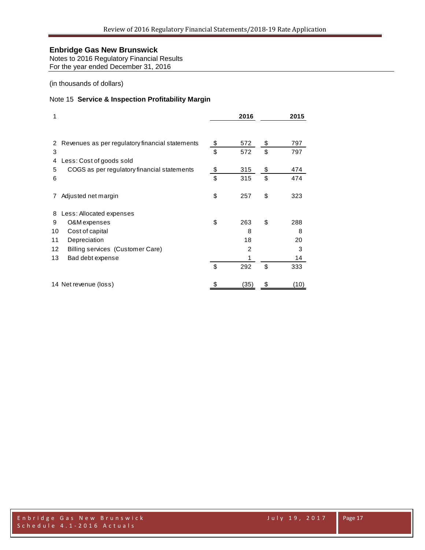Notes to 2016 Regulatory Financial Results For the year ended December 31, 2016

(in thousands of dollars)

### Note 15 **Service & Inspection Profitability Margin**

| 1  |                                                 | 2016           | 2015      |
|----|-------------------------------------------------|----------------|-----------|
| 2  | Revenues as per regulatory financial statements | \$<br>572      | \$<br>797 |
| 3  |                                                 | \$<br>572      | \$<br>797 |
| 4  | Less: Cost of goods sold                        |                |           |
| 5  | COGS as per regulatory financial statements     | \$<br>315      | \$<br>474 |
| 6  |                                                 | \$<br>315      | \$<br>474 |
| 7  | Adjusted net margin                             | \$<br>257      | \$<br>323 |
| 8  | Less: Allocated expenses                        |                |           |
| 9  | O&M expenses                                    | \$<br>263      | \$<br>288 |
| 10 | Cost of capital                                 | 8              | 8         |
| 11 | Depreciation                                    | 18             | 20        |
| 12 | Billing services (Customer Care)                | $\overline{2}$ | 3         |
| 13 | Bad debt expense                                | 1              | 14        |
|    |                                                 | \$<br>292      | \$<br>333 |
|    | 14 Net revenue (loss)                           | (35)           | (10)      |